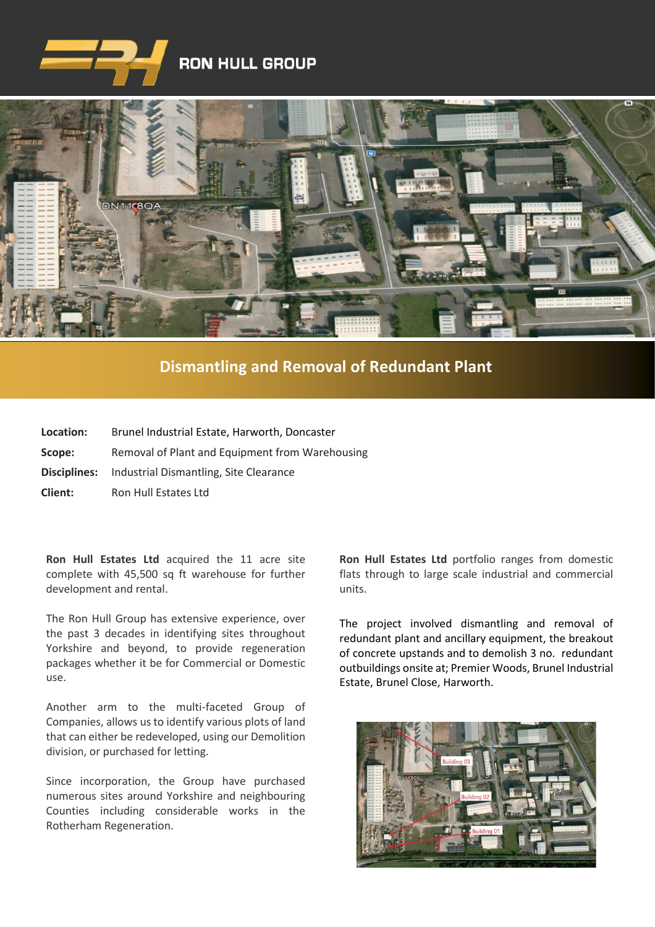



## **[Dismantling and Removal of Redundant Plant](https://www.google.co.uk/imgres?imgurl=http%3A%2F%2Fwww.clenergy.co.uk%2FImageGen.ashx%3Fimage%3D%2Fmedia%2F1044%2Fcredit-solutia-2009-looking-south-4mb.jpg%26width%3D568%26height%3D320&imgrefurl=http%3A%2F%2Fwww.clenergy.co.uk%2Fprojects%2Fsolutia%2F&docid=l4QIaOP_OnRHZM&tbnid=A2rf481aMiEi8M%3A&vet=10ahUKEwie4JWq6srkAhX6SxUIHaTaDYwQMwg_KAEwAQ..i&w=568&h=320&bih=575&biw=1280&q=eastman%20chemical%20plant%20newport%20wales&ved=0ahUKEwie4JWq6srkAhX6SxUIHaTaDYwQMwg_KAEwAQ&iact=mrc&uact=8)**

| Location: | Brunel Industrial Estate, Harworth, Doncaster              |
|-----------|------------------------------------------------------------|
| Scope:    | Removal of Plant and Equipment from Warehousing            |
|           | <b>Disciplines:</b> Industrial Dismantling, Site Clearance |
| Client:   | Ron Hull Estates Ltd                                       |

**Ron Hull Estates Ltd** acquired the 11 acre site complete with 45,500 sq ft warehouse for further development and rental.

The Ron Hull Group has extensive experience, over the past 3 decades in identifying sites throughout Yorkshire and beyond, to provide regeneration packages whether it be for Commercial or Domestic use.

Another arm to the multi-faceted Group of Companies, allows us to identify various plots of land that can either be redeveloped, using our Demolition division, or purchased for letting.

Since incorporation, the Group have purchased numerous sites around Yorkshire and neighbouring Counties including considerable works in the Rotherham Regeneration.

**Ron Hull Estates Ltd** portfolio ranges from domestic flats through to large scale industrial and commercial units.

The project involved dismantling and removal of redundant plant and ancillary equipment, the breakout of concrete upstands and to demolish 3 no. redundant outbuildings onsite at; Premier Woods, Brunel Industrial Estate, Brunel Close, Harworth.